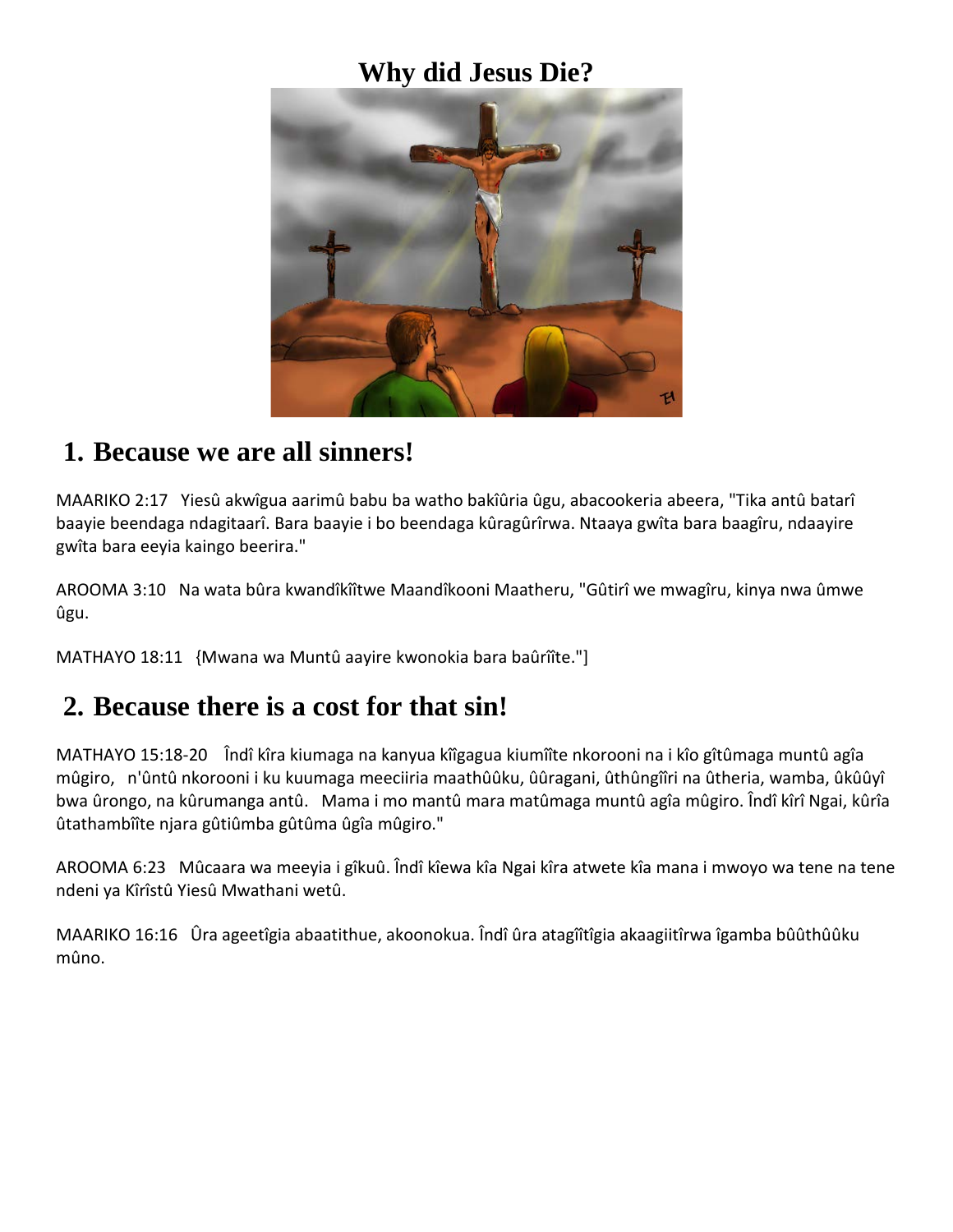### **Why did Jesus Die?**



#### **1. Because we are all sinners!**

MAARIKO 2:17 Yiesû akwîgua aarimû babu ba watho bakîûria ûgu, abacookeria abeera, "Tika antû batarî baayie beendaga ndagitaarî. Bara baayie i bo beendaga kûragûrîrwa. Ntaaya gwîta bara baagîru, ndaayire gwîta bara eeyia kaingo beerira."

AROOMA 3:10 Na wata bûra kwandîkîîtwe Maandîkooni Maatheru, "Gûtirî we mwagîru, kinya nwa ûmwe ûgu.

MATHAYO 18:11 {Mwana wa Muntû aayire kwonokia bara baûrîîte."]

### **2. Because there is a cost for that sin!**

MATHAYO 15:18-20 Îndî kîra kiumaga na kanyua kîîgagua kiumîîte nkorooni na i kîo gîtûmaga muntû agîa mûgiro, n'ûntû nkorooni i ku kuumaga meeciiria maathûûku, ûûragani, ûthûngîîri na ûtheria, wamba, ûkûûyî bwa ûrongo, na kûrumanga antû. Mama i mo mantû mara matûmaga muntû agîa mûgiro. Îndî kîrî Ngai, kûrîa ûtathambîîte njara gûtiûmba gûtûma ûgîa mûgiro."

AROOMA 6:23 Mûcaara wa meeyia i gîkuû. Îndî kîewa kîa Ngai kîra atwete kîa mana i mwoyo wa tene na tene ndeni ya Kîrîstû Yiesû Mwathani wetû.

MAARIKO 16:16 Ûra ageetîgia abaatithue, akoonokua. Îndî ûra atagîîtîgia akaagiitîrwa îgamba bûûthûûku mûno.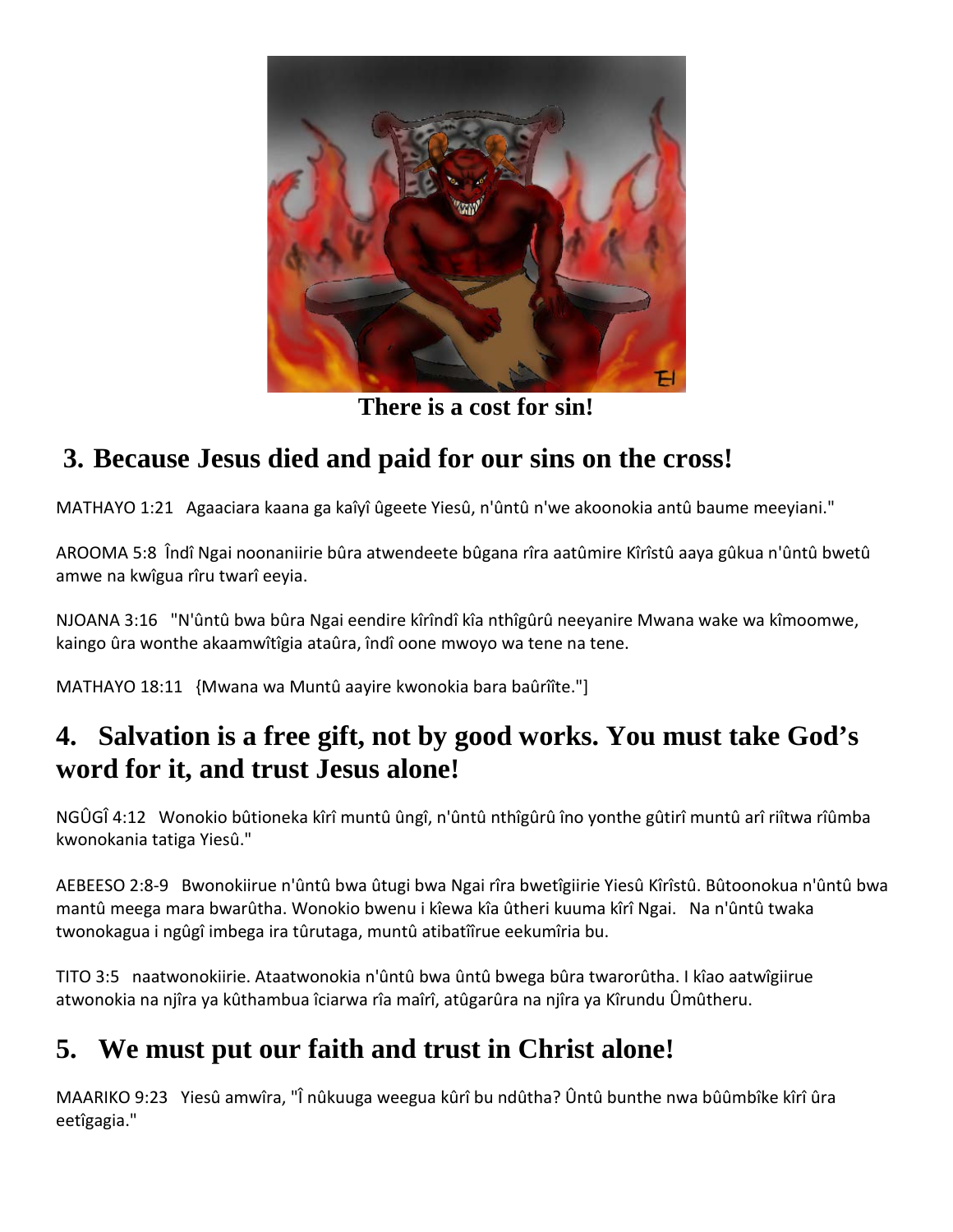

**There is a cost for sin!**

## **3. Because Jesus died and paid for our sins on the cross!**

MATHAYO 1:21 Agaaciara kaana ga kaîyî ûgeete Yiesû, n'ûntû n'we akoonokia antû baume meeyiani."

AROOMA 5:8 Îndî Ngai noonaniirie bûra atwendeete bûgana rîra aatûmire Kîrîstû aaya gûkua n'ûntû bwetû amwe na kwîgua rîru twarî eeyia.

NJOANA 3:16 "N'ûntû bwa bûra Ngai eendire kîrîndî kîa nthîgûrû neeyanire Mwana wake wa kîmoomwe, kaingo ûra wonthe akaamwîtîgia ataûra, îndî oone mwoyo wa tene na tene.

MATHAYO 18:11 {Mwana wa Muntû aayire kwonokia bara baûrîîte."]

## **4. Salvation is a free gift, not by good works. You must take God's word for it, and trust Jesus alone!**

NGÛGÎ 4:12 Wonokio bûtioneka kîrî muntû ûngî, n'ûntû nthîgûrû îno yonthe gûtirî muntû arî riîtwa rîûmba kwonokania tatiga Yiesû."

AEBEESO 2:8-9 Bwonokiirue n'ûntû bwa ûtugi bwa Ngai rîra bwetîgiirie Yiesû Kîrîstû. Bûtoonokua n'ûntû bwa mantû meega mara bwarûtha. Wonokio bwenu i kîewa kîa ûtheri kuuma kîrî Ngai. Na n'ûntû twaka twonokagua i ngûgî imbega ira tûrutaga, muntû atibatîîrue eekumîria bu.

TITO 3:5 naatwonokiirie. Ataatwonokia n'ûntû bwa ûntû bwega bûra twarorûtha. I kîao aatwîgiirue atwonokia na njîra ya kûthambua îciarwa rîa maîrî, atûgarûra na njîra ya Kîrundu Ûmûtheru.

# **5. We must put our faith and trust in Christ alone!**

MAARIKO 9:23 Yiesû amwîra, "Î nûkuuga weegua kûrî bu ndûtha? Ûntû bunthe nwa bûûmbîke kîrî ûra eetîgagia."